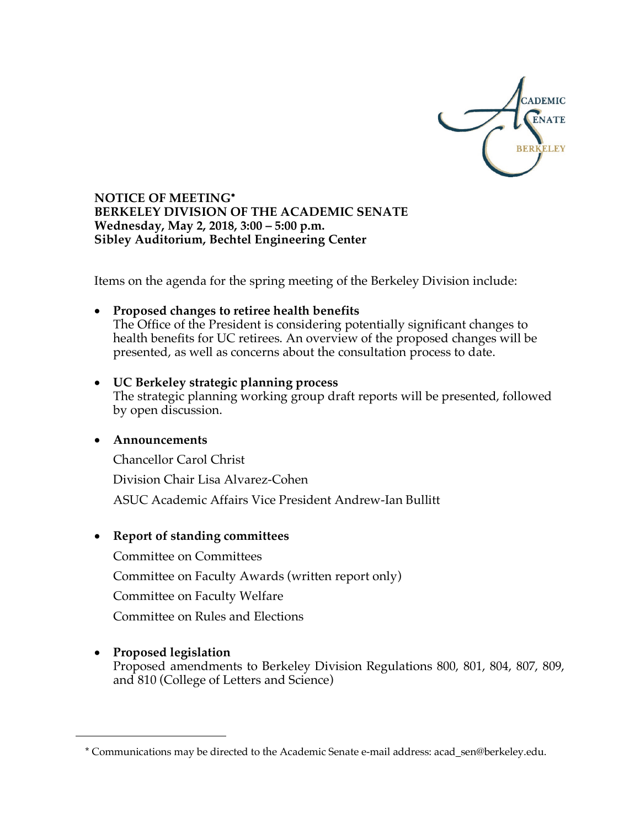

**NOTICE OF MEETING**\* **BERKELEY DIVISION OF THE ACADEMIC SENATE Wednesday, May 2, 2018, 3:00 – 5:00 p.m. Sibley Auditorium, Bechtel Engineering Center**

Items on the agenda for the spring meeting of the Berkeley Division include:

- **Proposed changes to retiree health benefits** The Office of the President is considering potentially significant changes to health benefits for UC retirees. An overview of the proposed changes will be presented, as well as concerns about the consultation process to date.
- **UC Berkeley strategic planning process** The strategic planning working group draft reports will be presented, followed by open discussion.

#### • **Announcements**

Chancellor Carol Christ Division Chair Lisa Alvarez-Cohen ASUC Academic Affairs Vice President Andrew-Ian Bullitt

#### • **Report of standing committees**

Committee on Committees Committee on Faculty Awards (written report only) Committee on Faculty Welfare Committee on Rules and Elections

#### • **Proposed legislation**

 $\overline{a}$ 

Proposed amendments to Berkeley Division Regulations 800, 801, 804, 807, 809, and 810 (College of Letters and Science)

<sup>\*</sup> Communications may be directed to the Academic Senate e-mail address: acad\_sen@berkeley.edu.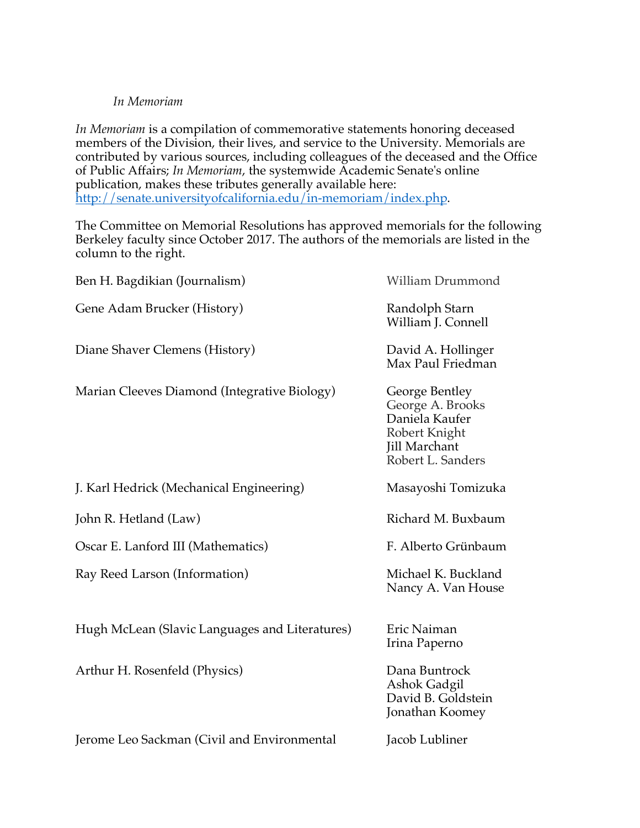#### *In Memoriam*

*In Memoriam* is a compilation of commemorative statements honoring deceased members of the Division, their lives, and service to the University. Memorials are contributed by various sources, including colleagues of the deceased and the Office of Public Affairs; *In Memoriam*, the systemwide Academic Senate's online publication, makes these tributes generally available here: http://senate.universityofcalifornia.edu/in-memoriam/index.php.

The Committee on Memorial Resolutions has approved memorials for the following Berkeley faculty since October 2017. The authors of the memorials are listed in the column to the right.

| Ben H. Bagdikian (Journalism)                  | <b>William Drummond</b>                                                                                                   |
|------------------------------------------------|---------------------------------------------------------------------------------------------------------------------------|
| Gene Adam Brucker (History)                    | Randolph Starn<br>William J. Connell                                                                                      |
| Diane Shaver Clemens (History)                 | David A. Hollinger<br>Max Paul Friedman                                                                                   |
| Marian Cleeves Diamond (Integrative Biology)   | <b>George Bentley</b><br>George A. Brooks<br>Daniela Kaufer<br>Robert Knight<br><b>Jill Marchant</b><br>Robert L. Sanders |
| J. Karl Hedrick (Mechanical Engineering)       | Masayoshi Tomizuka                                                                                                        |
| John R. Hetland (Law)                          | Richard M. Buxbaum                                                                                                        |
| Oscar E. Lanford III (Mathematics)             | F. Alberto Grünbaum                                                                                                       |
| Ray Reed Larson (Information)                  | Michael K. Buckland<br>Nancy A. Van House                                                                                 |
| Hugh McLean (Slavic Languages and Literatures) | Eric Naiman<br>Irina Paperno                                                                                              |
| Arthur H. Rosenfeld (Physics)                  | Dana Buntrock<br>Ashok Gadgil<br>David B. Goldstein<br>Jonathan Koomey                                                    |
| Jerome Leo Sackman (Civil and Environmental    | Jacob Lubliner                                                                                                            |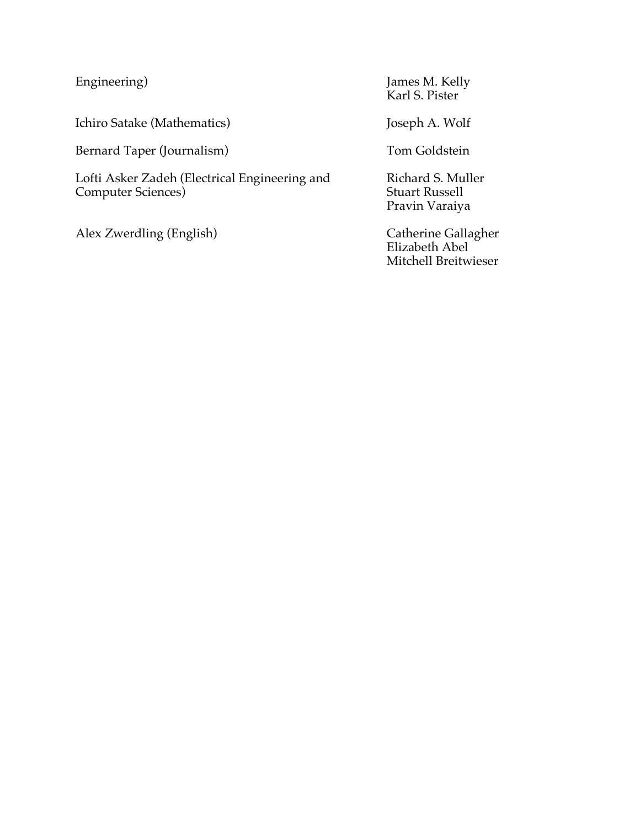Engineering)

Ichiro Satake (Mathematics)

Bernard Taper (Journalism)

Lofti Asker Zadeh (Electrical Engineering and Computer Sciences)

Alex Zwerdling (English)

James M. Kelly Karl S. Pister

Joseph A. Wolf

Tom Goldstein

Richard S. Muller Stuart Russell Pravin Varaiya

Catherine Gallagher Elizabeth Abel Mitchell Breitwieser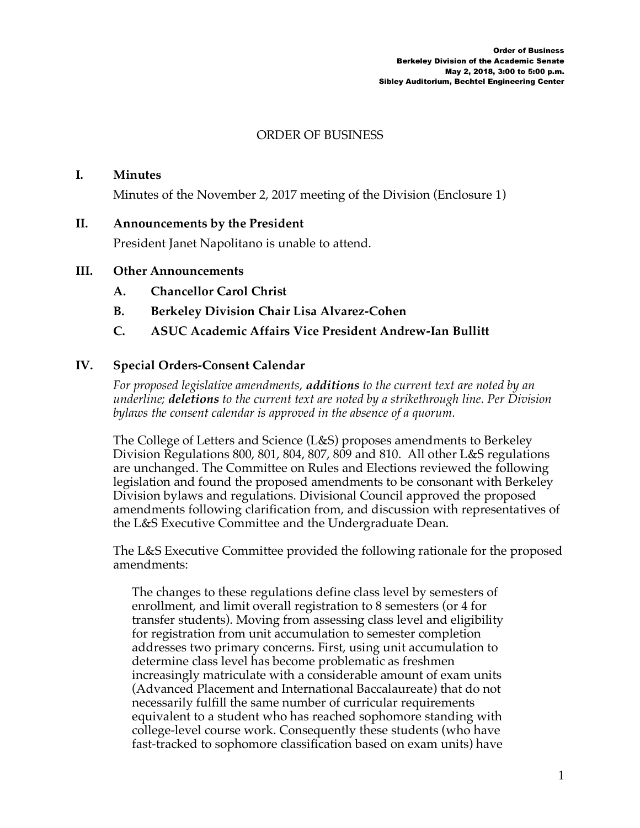#### ORDER OF BUSINESS

#### **I. Minutes**

Minutes of the November 2, 2017 meeting of the Division (Enclosure 1)

#### **II. Announcements by the President**

President Janet Napolitano is unable to attend.

#### **III. Other Announcements**

- **A. Chancellor Carol Christ**
- **B. Berkeley Division Chair Lisa Alvarez-Cohen**
- **C. ASUC Academic Affairs Vice President Andrew-Ian Bullitt**

#### **IV. Special Orders-Consent Calendar**

*For proposed legislative amendments, additions to the current text are noted by an underline; deletions to the current text are noted by a strikethrough line. Per Division bylaws the consent calendar is approved in the absence of a quorum.*

The College of Letters and Science (L&S) proposes amendments to Berkeley Division Regulations 800, 801, 804, 807, 809 and 810. All other L&S regulations are unchanged. The Committee on Rules and Elections reviewed the following legislation and found the proposed amendments to be consonant with Berkeley Division bylaws and regulations. Divisional Council approved the proposed amendments following clarification from, and discussion with representatives of the L&S Executive Committee and the Undergraduate Dean.

The L&S Executive Committee provided the following rationale for the proposed amendments:

The changes to these regulations define class level by semesters of enrollment, and limit overall registration to 8 semesters (or 4 for transfer students). Moving from assessing class level and eligibility for registration from unit accumulation to semester completion addresses two primary concerns. First, using unit accumulation to determine class level has become problematic as freshmen increasingly matriculate with a considerable amount of exam units (Advanced Placement and International Baccalaureate) that do not necessarily fulfill the same number of curricular requirements equivalent to a student who has reached sophomore standing with college-level course work. Consequently these students (who have fast-tracked to sophomore classification based on exam units) have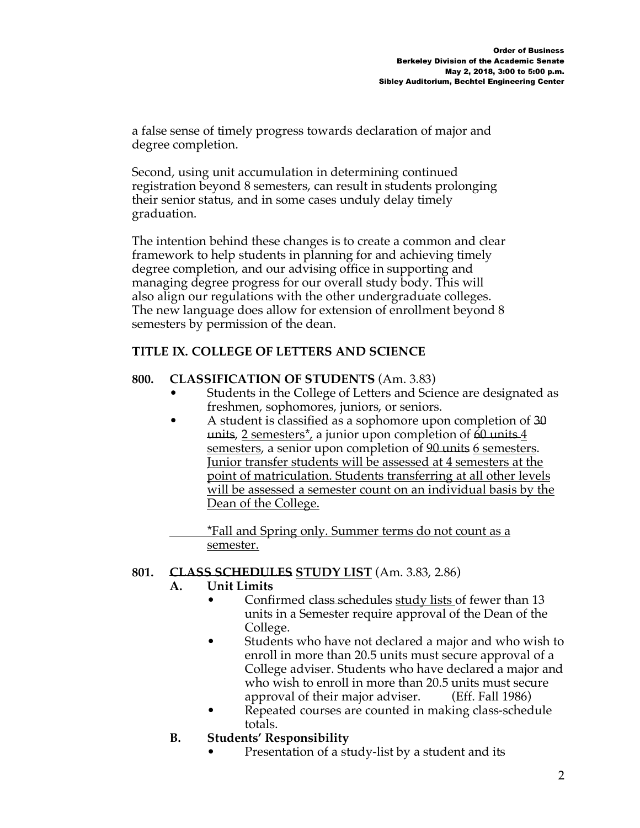a false sense of timely progress towards declaration of major and degree completion.

Second, using unit accumulation in determining continued registration beyond 8 semesters, can result in students prolonging their senior status, and in some cases unduly delay timely graduation.

The intention behind these changes is to create a common and clear framework to help students in planning for and achieving timely degree completion, and our advising office in supporting and managing degree progress for our overall study body. This will also align our regulations with the other undergraduate colleges. The new language does allow for extension of enrollment beyond 8 semesters by permission of the dean.

## **TITLE IX. COLLEGE OF LETTERS AND SCIENCE**

#### **800. CLASSIFICATION OF STUDENTS** (Am. 3.83)

- Students in the College of Letters and Science are designated as freshmen, sophomores, juniors, or seniors.
- A student is classified as a sophomore upon completion of 30 units,  $2$  semesters<sup>\*</sup>, a junior upon completion of  $60$  units  $4$ semesters, a senior upon completion of 90 units 6 semesters. Junior transfer students will be assessed at 4 semesters at the point of matriculation. Students transferring at all other levels will be assessed a semester count on an individual basis by the Dean of the College.

\*Fall and Spring only. Summer terms do not count as a semester.

#### **801. CLASS SCHEDULES STUDY LIST** (Am. 3.83, 2.86)

# **A. Unit Limits**

- Confirmed class schedules study lists of fewer than 13 units in a Semester require approval of the Dean of the College.
- Students who have not declared a major and who wish to enroll in more than 20.5 units must secure approval of a College adviser. Students who have declared a major and who wish to enroll in more than 20.5 units must secure approval of their major adviser. (Eff. Fall 1986)
- Repeated courses are counted in making class-schedule totals.
- **B. Students' Responsibility**
	- Presentation of a study-list by a student and its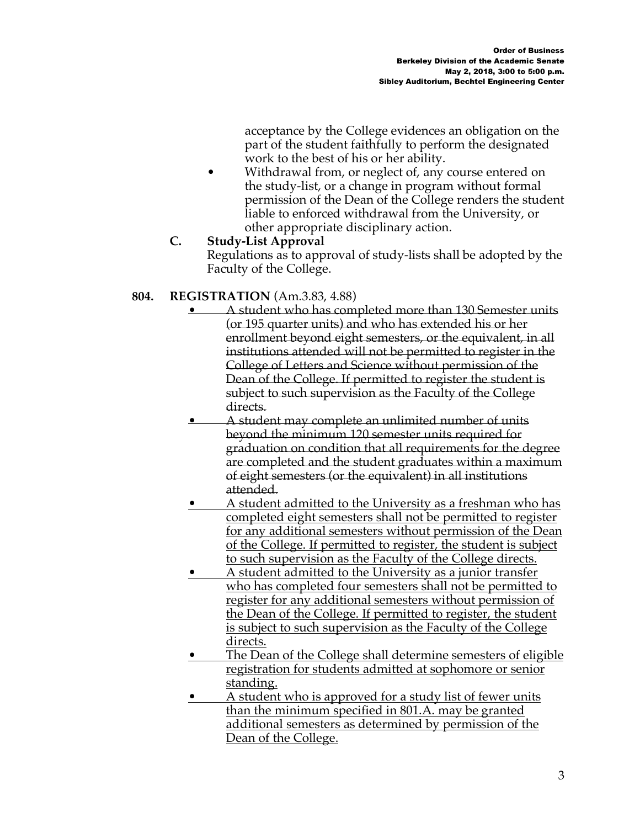acceptance by the College evidences an obligation on the part of the student faithfully to perform the designated work to the best of his or her ability.

• Withdrawal from, or neglect of, any course entered on the study-list, or a change in program without formal permission of the Dean of the College renders the student liable to enforced withdrawal from the University, or other appropriate disciplinary action.

# **C. Study-List Approval**

Regulations as to approval of study-lists shall be adopted by the Faculty of the College.

# **804. REGISTRATION** (Am.3.83, 4.88)

- A student who has completed more than 130 Semester units (or 195 quarter units) and who has extended his or her enrollment beyond eight semesters, or the equivalent, in all institutions attended will not be permitted to register in the College of Letters and Science without permission of the Dean of the College. If permitted to register the student is subject to such supervision as the Faculty of the College directs.
- A student may complete an unlimited number of units beyond the minimum 120 semester units required for graduation on condition that all requirements for the degree are completed and the student graduates within a maximum of eight semesters (or the equivalent) in all institutions attended.
- A student admitted to the University as a freshman who has completed eight semesters shall not be permitted to register for any additional semesters without permission of the Dean of the College. If permitted to register, the student is subject to such supervision as the Faculty of the College directs.
- A student admitted to the University as a junior transfer who has completed four semesters shall not be permitted to register for any additional semesters without permission of the Dean of the College. If permitted to register, the student is subject to such supervision as the Faculty of the College directs.
- The Dean of the College shall determine semesters of eligible registration for students admitted at sophomore or senior standing.
- A student who is approved for a study list of fewer units than the minimum specified in 801.A. may be granted additional semesters as determined by permission of the Dean of the College.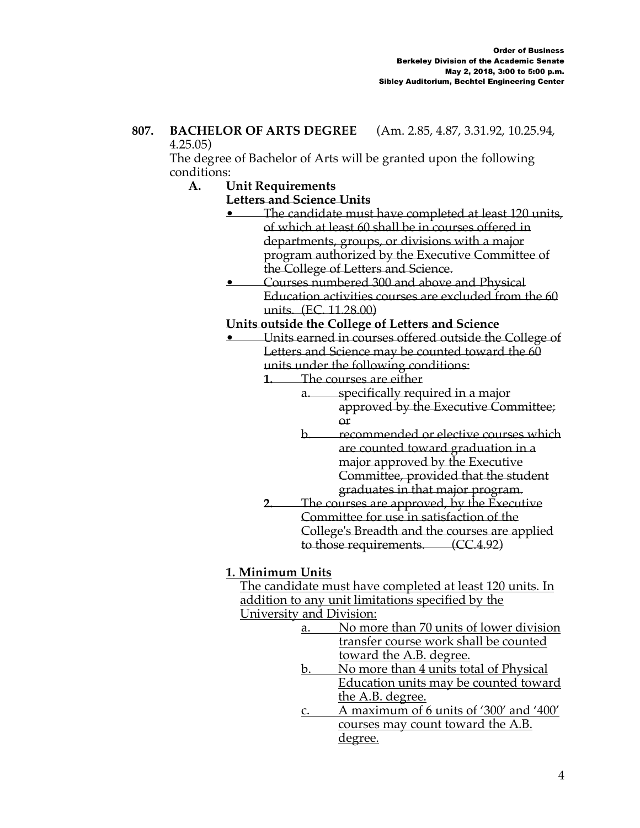#### **807. BACHELOR OF ARTS DEGREE** (Am. 2.85, 4.87, 3.31.92, 10.25.94, 4.25.05)

The degree of Bachelor of Arts will be granted upon the following conditions:

- **A. Unit Requirements** 
	- **Letters and Science Units**
		- The candidate must have completed at least 120 units, of which at least 60 shall be in courses offered in departments, groups, or divisions with a major program authorized by the Executive Committee of the College of Letters and Science.
		- Courses numbered 300 and above and Physical Education activities courses are excluded from the 60 units. (EC. 11.28.00)

#### **Units outside the College of Letters and Science**

- Units earned in courses offered outside the College of Letters and Science may be counted toward the 60 units under the following conditions:
	- **1.** The courses are either
		- a. specifically required in a major approved by the Executive Committee; or
		- b. recommended or elective courses which are counted toward graduation in a major approved by the Executive Committee, provided that the student graduates in that major program.
	- **2.** The courses are approved, by the Executive Committee for use in satisfaction of the College's Breadth and the courses are applied to those requirements. (CC.4.92)

# **1. Minimum Units**

The candidate must have completed at least 120 units. In addition to any unit limitations specified by the University and Division:

- a. No more than 70 units of lower division transfer course work shall be counted toward the A.B. degree.
- b. No more than 4 units total of Physical Education units may be counted toward the A.B. degree.
- c. A maximum of 6 units of '300' and '400' courses may count toward the A.B. degree.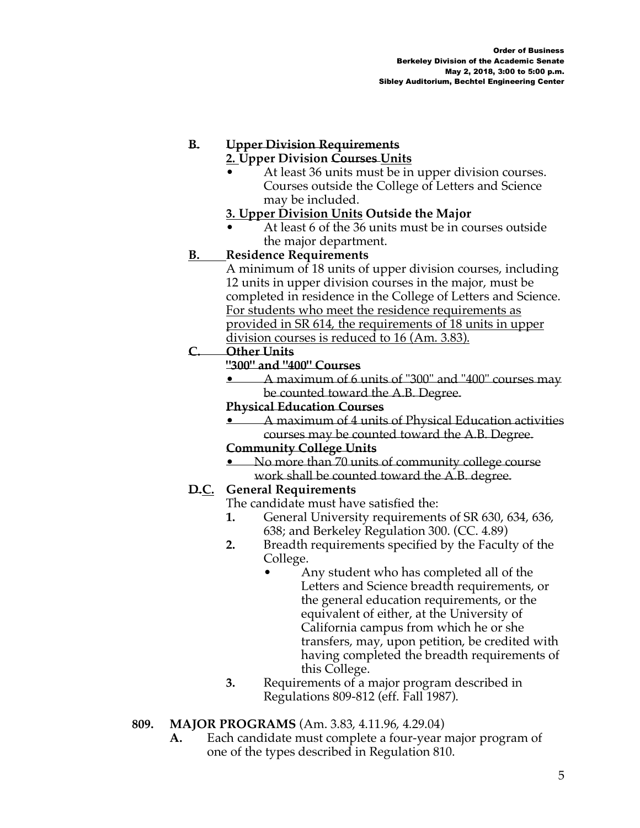# **B. Upper Division Requirements**

- **2. Upper Division Courses Units** At least 36 units must be in upper division courses.
	- Courses outside the College of Letters and Science may be included.

# **3. Upper Division Units Outside the Major**

• At least 6 of the 36 units must be in courses outside the major department.

# **B. Residence Requirements**

A minimum of 18 units of upper division courses, including 12 units in upper division courses in the major, must be completed in residence in the College of Letters and Science. For students who meet the residence requirements as provided in SR 614, the requirements of 18 units in upper division courses is reduced to 16 (Am. 3.83).

# **C. Other Units**

## **"300" and "400" Courses**

• A maximum of 6 units of "300" and "400" courses may be counted toward the A.B. Degree.

# **Physical Education Courses**

• A maximum of 4 units of Physical Education activities courses may be counted toward the A.B. Degree.

# **Community College Units**

• No more than 70 units of community college course work shall be counted toward the A.B. degree.

# **D.C. General Requirements**

The candidate must have satisfied the:

- **1.** General University requirements of SR 630, 634, 636, 638; and Berkeley Regulation 300. (CC. 4.89)
- **2.** Breadth requirements specified by the Faculty of the College.
	- Any student who has completed all of the Letters and Science breadth requirements, or the general education requirements, or the equivalent of either, at the University of California campus from which he or she transfers, may, upon petition, be credited with having completed the breadth requirements of this College.
- **3.** Requirements of a major program described in Regulations 809-812 (eff. Fall 1987).

# **809. MAJOR PROGRAMS** (Am. 3.83, 4.11.96, 4.29.04)

**A.** Each candidate must complete a four-year major program of one of the types described in Regulation 810.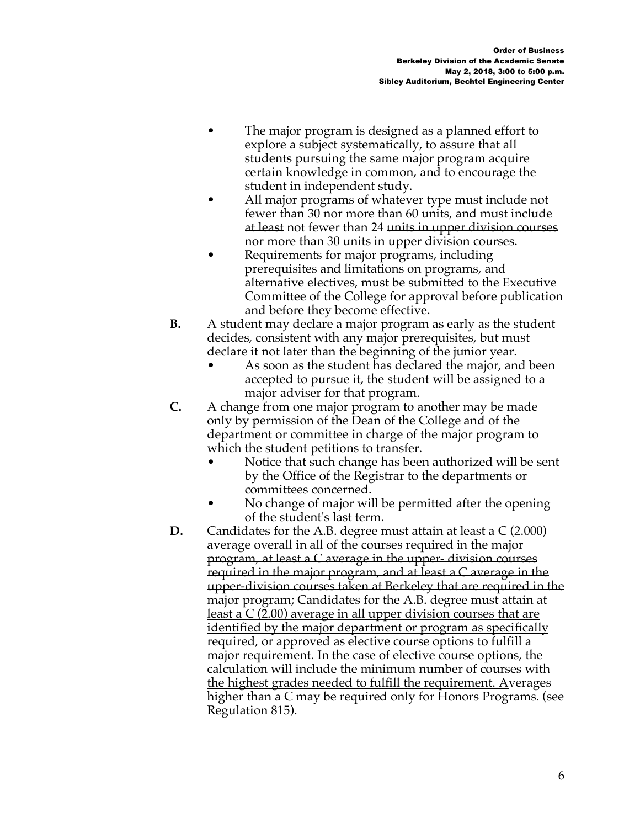- The major program is designed as a planned effort to explore a subject systematically, to assure that all students pursuing the same major program acquire certain knowledge in common, and to encourage the student in independent study.
- All major programs of whatever type must include not fewer than 30 nor more than 60 units, and must include at least not fewer than 24 units in upper division courses nor more than 30 units in upper division courses.
- Requirements for major programs, including prerequisites and limitations on programs, and alternative electives, must be submitted to the Executive Committee of the College for approval before publication and before they become effective.
- **B.** A student may declare a major program as early as the student decides, consistent with any major prerequisites, but must declare it not later than the beginning of the junior year.
	- As soon as the student has declared the major, and been accepted to pursue it, the student will be assigned to a major adviser for that program.
- **C.** A change from one major program to another may be made only by permission of the Dean of the College and of the department or committee in charge of the major program to which the student petitions to transfer.
	- Notice that such change has been authorized will be sent by the Office of the Registrar to the departments or committees concerned.
	- No change of major will be permitted after the opening of the student's last term.
- **D.** Candidates for the A.B. degree must attain at least a C (2.000) average overall in all of the courses required in the major program, at least a C average in the upper- division courses required in the major program, and at least a C average in the upper-division courses taken at Berkeley that are required in the major program; Candidates for the A.B. degree must attain at least a C (2.00) average in all upper division courses that are identified by the major department or program as specifically required, or approved as elective course options to fulfill a major requirement. In the case of elective course options, the calculation will include the minimum number of courses with the highest grades needed to fulfill the requirement. Averages higher than a C may be required only for Honors Programs. (see Regulation 815).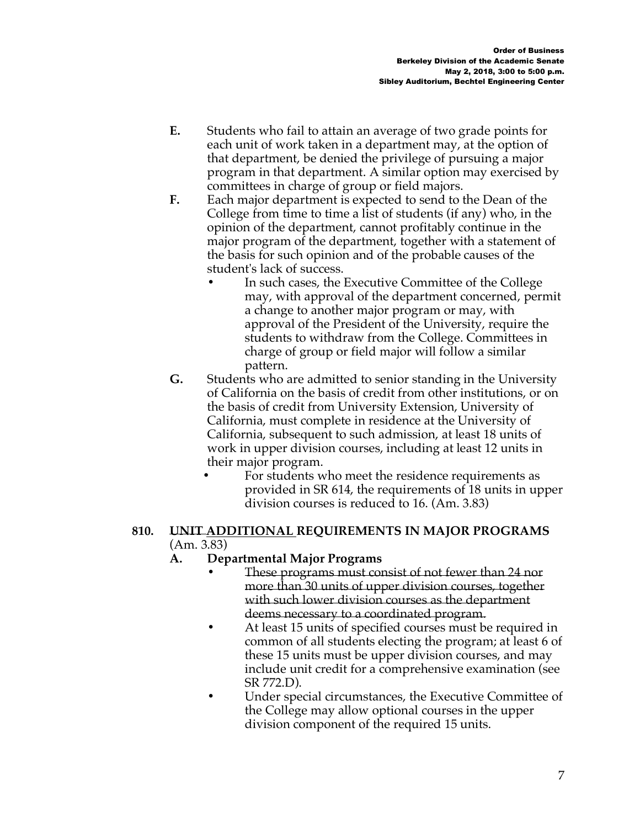- **E.** Students who fail to attain an average of two grade points for each unit of work taken in a department may, at the option of that department, be denied the privilege of pursuing a major program in that department. A similar option may exercised by committees in charge of group or field majors.
- **F.** Each major department is expected to send to the Dean of the College from time to time a list of students (if any) who, in the opinion of the department, cannot profitably continue in the major program of the department, together with a statement of the basis for such opinion and of the probable causes of the student's lack of success.
	- **•** In such cases, the Executive Committee of the College may, with approval of the department concerned, permit a change to another major program or may, with approval of the President of the University, require the students to withdraw from the College. Committees in charge of group or field major will follow a similar pattern.
- **G.** Students who are admitted to senior standing in the University of California on the basis of credit from other institutions, or on the basis of credit from University Extension, University of California, must complete in residence at the University of California, subsequent to such admission, at least 18 units of work in upper division courses, including at least 12 units in their major program.
	- **•** For students who meet the residence requirements as provided in SR 614, the requirements of 18 units in upper division courses is reduced to 16. (Am. 3.83)

#### **810. UNIT ADDITIONAL REQUIREMENTS IN MAJOR PROGRAMS** (Am. 3.83)

- **A. Departmental Major Programs**
	- **•** These programs must consist of not fewer than 24 nor more than 30 units of upper division courses, together with such lower division courses as the department deems necessary to a coordinated program.
	- **•** At least 15 units of specified courses must be required in common of all students electing the program; at least 6 of these 15 units must be upper division courses, and may include unit credit for a comprehensive examination (see SR 772.D).
	- **•** Under special circumstances, the Executive Committee of the College may allow optional courses in the upper division component of the required 15 units.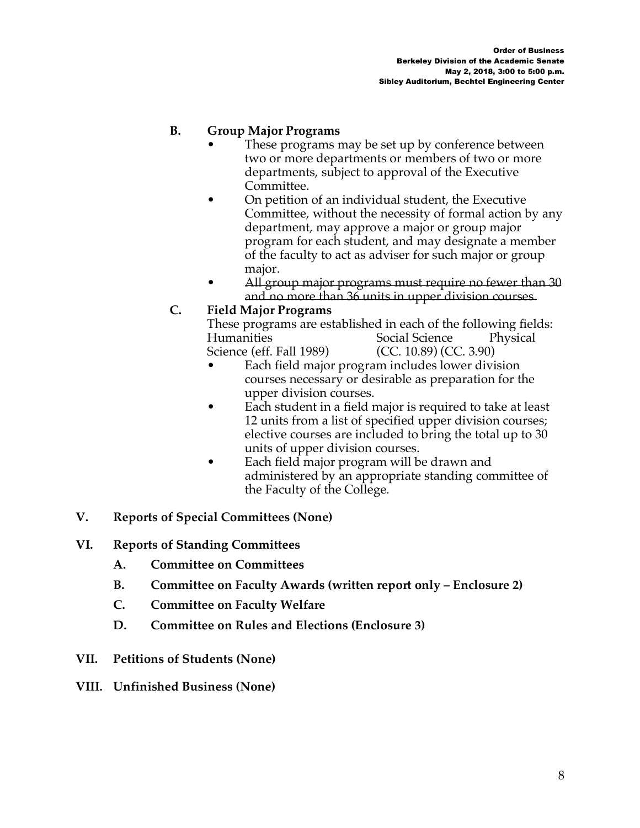## **B. Group Major Programs**

- These programs may be set up by conference between two or more departments or members of two or more departments, subject to approval of the Executive Committee.
- On petition of an individual student, the Executive Committee, without the necessity of formal action by any department, may approve a major or group major program for each student, and may designate a member of the faculty to act as adviser for such major or group major.
- All group major programs must require no fewer than 30 and no more than 36 units in upper division courses.

## **C. Field Major Programs**

These programs are established in each of the following fields: Humanities Social Science Physical Science (eff. Fall 1989) (CC. 10.89) (CC. 3.90)

- Each field major program includes lower division courses necessary or desirable as preparation for the upper division courses.
- Each student in a field major is required to take at least 12 units from a list of specified upper division courses; elective courses are included to bring the total up to 30 units of upper division courses.
- Each field major program will be drawn and administered by an appropriate standing committee of the Faculty of the College.
- **V. Reports of Special Committees (None)**
- **VI. Reports of Standing Committees**
	- **A. Committee on Committees**
	- **B. Committee on Faculty Awards (written report only – Enclosure 2)**
	- **C. Committee on Faculty Welfare**
	- **D. Committee on Rules and Elections (Enclosure 3)**
- **VII. Petitions of Students (None)**
- **VIII. Unfinished Business (None)**